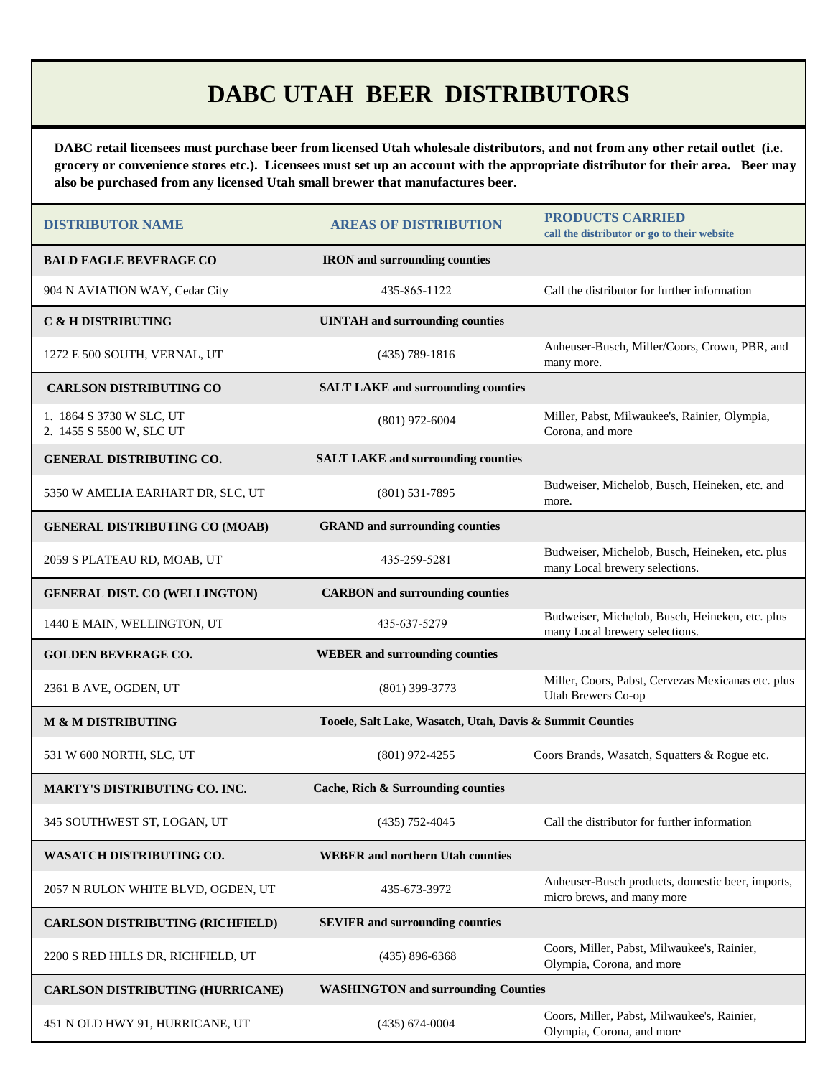## **DABC UTAH BEER DISTRIBUTORS**

**DABC retail licensees must purchase beer from licensed Utah wholesale distributors, and not from any other retail outlet (i.e. grocery or convenience stores etc.). Licensees must set up an account with the appropriate distributor for their area. Beer may also be purchased from any licensed Utah small brewer that manufactures beer.** 

| <b>DISTRIBUTOR NAME</b>                              | <b>AREAS OF DISTRIBUTION</b>                              | <b>PRODUCTS CARRIED</b><br>call the distributor or go to their website            |  |  |  |
|------------------------------------------------------|-----------------------------------------------------------|-----------------------------------------------------------------------------------|--|--|--|
| <b>BALD EAGLE BEVERAGE CO</b>                        | <b>IRON</b> and surrounding counties                      |                                                                                   |  |  |  |
| 904 N AVIATION WAY, Cedar City                       | 435-865-1122                                              | Call the distributor for further information                                      |  |  |  |
| <b>C &amp; H DISTRIBUTING</b>                        | <b>UINTAH</b> and surrounding counties                    |                                                                                   |  |  |  |
| 1272 E 500 SOUTH, VERNAL, UT                         | $(435)$ 789-1816                                          | Anheuser-Busch, Miller/Coors, Crown, PBR, and<br>many more.                       |  |  |  |
| <b>CARLSON DISTRIBUTING CO</b>                       | <b>SALT LAKE and surrounding counties</b>                 |                                                                                   |  |  |  |
| 1. 1864 S 3730 W SLC, UT<br>2. 1455 S 5500 W, SLC UT | $(801)$ 972-6004                                          | Miller, Pabst, Milwaukee's, Rainier, Olympia,<br>Corona, and more                 |  |  |  |
| <b>GENERAL DISTRIBUTING CO.</b>                      | <b>SALT LAKE and surrounding counties</b>                 |                                                                                   |  |  |  |
| 5350 W AMELIA EARHART DR, SLC, UT                    | $(801)$ 531-7895                                          | Budweiser, Michelob, Busch, Heineken, etc. and<br>more.                           |  |  |  |
| <b>GENERAL DISTRIBUTING CO (MOAB)</b>                | <b>GRAND</b> and surrounding counties                     |                                                                                   |  |  |  |
| 2059 S PLATEAU RD, MOAB, UT                          | 435-259-5281                                              | Budweiser, Michelob, Busch, Heineken, etc. plus<br>many Local brewery selections. |  |  |  |
| <b>GENERAL DIST. CO (WELLINGTON)</b>                 | <b>CARBON</b> and surrounding counties                    |                                                                                   |  |  |  |
| 1440 E MAIN, WELLINGTON, UT                          | 435-637-5279                                              | Budweiser, Michelob, Busch, Heineken, etc. plus<br>many Local brewery selections. |  |  |  |
| <b>GOLDEN BEVERAGE CO.</b>                           | <b>WEBER</b> and surrounding counties                     |                                                                                   |  |  |  |
| 2361 B AVE, OGDEN, UT                                | $(801)$ 399-3773                                          | Miller, Coors, Pabst, Cervezas Mexicanas etc. plus<br><b>Utah Brewers Co-op</b>   |  |  |  |
| <b>M &amp; M DISTRIBUTING</b>                        | Tooele, Salt Lake, Wasatch, Utah, Davis & Summit Counties |                                                                                   |  |  |  |
| 531 W 600 NORTH, SLC, UT                             | $(801)$ 972-4255                                          | Coors Brands, Wasatch, Squatters & Rogue etc.                                     |  |  |  |
| MARTY'S DISTRIBUTING CO. INC.                        | Cache, Rich & Surrounding counties                        |                                                                                   |  |  |  |
| 345 SOUTHWEST ST, LOGAN, UT                          | $(435) 752 - 4045$                                        | Call the distributor for further information                                      |  |  |  |
| <b>WASATCH DISTRIBUTING CO.</b>                      | <b>WEBER</b> and northern Utah counties                   |                                                                                   |  |  |  |
| 2057 N RULON WHITE BLVD, OGDEN, UT                   | 435-673-3972                                              | Anheuser-Busch products, domestic beer, imports,<br>micro brews, and many more    |  |  |  |
| <b>CARLSON DISTRIBUTING (RICHFIELD)</b>              | <b>SEVIER</b> and surrounding counties                    |                                                                                   |  |  |  |
| 2200 S RED HILLS DR, RICHFIELD, UT                   | $(435) 896 - 6368$                                        | Coors, Miller, Pabst, Milwaukee's, Rainier,<br>Olympia, Corona, and more          |  |  |  |
| <b>CARLSON DISTRIBUTING (HURRICANE)</b>              | <b>WASHINGTON and surrounding Counties</b>                |                                                                                   |  |  |  |
| 451 N OLD HWY 91, HURRICANE, UT                      | $(435) 674 - 0004$                                        | Coors, Miller, Pabst, Milwaukee's, Rainier,<br>Olympia, Corona, and more          |  |  |  |